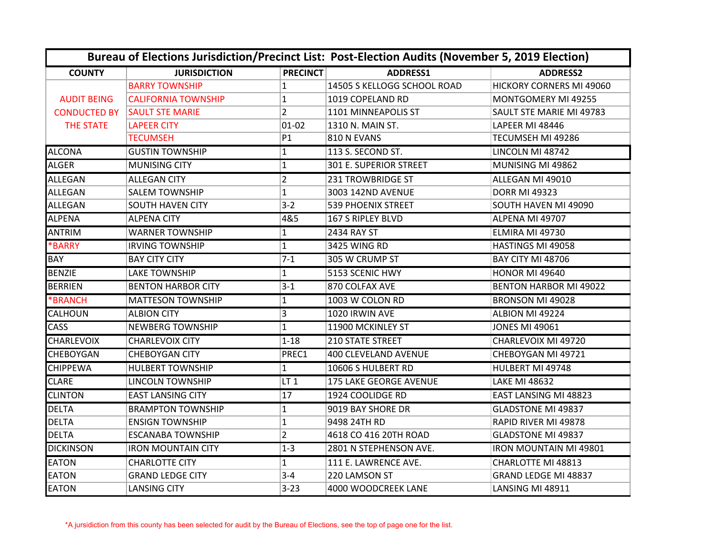|                     |                            |                 | Bureau of Elections Jurisdiction/Precinct List: Post-Election Audits (November 5, 2019 Election) |                               |  |
|---------------------|----------------------------|-----------------|--------------------------------------------------------------------------------------------------|-------------------------------|--|
| <b>COUNTY</b>       | <b>JURISDICTION</b>        | <b>PRECINCT</b> | ADDRESS1                                                                                         | <b>ADDRESS2</b>               |  |
|                     | <b>BARRY TOWNSHIP</b>      | 1               | 14505 S KELLOGG SCHOOL ROAD                                                                      | HICKORY CORNERS MI 49060      |  |
| <b>AUDIT BEING</b>  | <b>CALIFORNIA TOWNSHIP</b> | $\mathbf{1}$    | 1019 COPELAND RD                                                                                 | MONTGOMERY MI 49255           |  |
| <b>CONDUCTED BY</b> | <b>SAULT STE MARIE</b>     | $\overline{2}$  | 1101 MINNEAPOLIS ST                                                                              | SAULT STE MARIE MI 49783      |  |
| <b>THE STATE</b>    | <b>LAPEER CITY</b>         | $01 - 02$       | 1310 N. MAIN ST.                                                                                 | LAPEER MI 48446               |  |
|                     | <b>TECUMSEH</b>            | P1              | 810 N EVANS                                                                                      | TECUMSEH MI 49286             |  |
| <b>ALCONA</b>       | <b>GUSTIN TOWNSHIP</b>     | 1               | 113 S. SECOND ST.                                                                                | LINCOLN MI 48742              |  |
| <b>ALGER</b>        | <b>MUNISING CITY</b>       | $\mathbf{1}$    | 301 E. SUPERIOR STREET                                                                           | MUNISING MI 49862             |  |
| <b>ALLEGAN</b>      | <b>ALLEGAN CITY</b>        | $\overline{2}$  | <b>231 TROWBRIDGE ST</b>                                                                         | ALLEGAN MI 49010              |  |
| <b>ALLEGAN</b>      | <b>SALEM TOWNSHIP</b>      | $\mathbf{1}$    | 3003 142ND AVENUE                                                                                | <b>DORR MI 49323</b>          |  |
| ALLEGAN             | <b>SOUTH HAVEN CITY</b>    | $3-2$           | <b>539 PHOENIX STREET</b>                                                                        | SOUTH HAVEN MI 49090          |  |
| <b>ALPENA</b>       | <b>ALPENA CITY</b>         | 4&5             | 167 S RIPLEY BLVD                                                                                | ALPENA MI 49707               |  |
| <b>ANTRIM</b>       | <b>WARNER TOWNSHIP</b>     | $\mathbf{1}$    | 2434 RAY ST                                                                                      | ELMIRA MI 49730               |  |
| <b>*BARRY</b>       | <b>IRVING TOWNSHIP</b>     | $\mathbf{1}$    | 3425 WING RD                                                                                     | HASTINGS MI 49058             |  |
| <b>BAY</b>          | <b>BAY CITY CITY</b>       | $7-1$           | 305 W CRUMP ST                                                                                   | <b>BAY CITY MI 48706</b>      |  |
| <b>BENZIE</b>       | <b>LAKE TOWNSHIP</b>       | 1               | 5153 SCENIC HWY                                                                                  | <b>HONOR MI 49640</b>         |  |
| <b>BERRIEN</b>      | <b>BENTON HARBOR CITY</b>  | $3 - 1$         | 870 COLFAX AVE                                                                                   | <b>BENTON HARBOR MI 49022</b> |  |
| <b>*BRANCH</b>      | <b>MATTESON TOWNSHIP</b>   | 1               | 1003 W COLON RD                                                                                  | <b>BRONSON MI 49028</b>       |  |
| <b>CALHOUN</b>      | <b>ALBION CITY</b>         | 3               | 1020 IRWIN AVE                                                                                   | ALBION MI 49224               |  |
| <b>CASS</b>         | <b>NEWBERG TOWNSHIP</b>    | $\mathbf{1}$    | 11900 MCKINLEY ST                                                                                | <b>JONES MI 49061</b>         |  |
| <b>CHARLEVOIX</b>   | <b>CHARLEVOIX CITY</b>     | $1 - 18$        | <b>210 STATE STREET</b>                                                                          | CHARLEVOIX MI 49720           |  |
| <b>CHEBOYGAN</b>    | <b>CHEBOYGAN CITY</b>      | PREC1           | 400 CLEVELAND AVENUE                                                                             | CHEBOYGAN MI 49721            |  |
| <b>CHIPPEWA</b>     | <b>HULBERT TOWNSHIP</b>    | 1               | 10606 S HULBERT RD                                                                               | HULBERT MI 49748              |  |
| <b>CLARE</b>        | <b>LINCOLN TOWNSHIP</b>    | LT <sub>1</sub> | <b>175 LAKE GEORGE AVENUE</b>                                                                    | <b>LAKE MI 48632</b>          |  |
| <b>CLINTON</b>      | <b>EAST LANSING CITY</b>   | 17              | 1924 COOLIDGE RD                                                                                 | <b>EAST LANSING MI 48823</b>  |  |
| <b>DELTA</b>        | <b>BRAMPTON TOWNSHIP</b>   | $\mathbf{1}$    | 9019 BAY SHORE DR                                                                                | <b>GLADSTONE MI 49837</b>     |  |
| <b>DELTA</b>        | <b>ENSIGN TOWNSHIP</b>     | $\mathbf{1}$    | 9498 24TH RD                                                                                     | RAPID RIVER MI 49878          |  |
| <b>DELTA</b>        | <b>ESCANABA TOWNSHIP</b>   | $\overline{2}$  | 4618 CO 416 20TH ROAD                                                                            | <b>GLADSTONE MI 49837</b>     |  |
| <b>DICKINSON</b>    | <b>IRON MOUNTAIN CITY</b>  | $1 - 3$         | 2801 N STEPHENSON AVE.                                                                           | <b>IRON MOUNTAIN MI 49801</b> |  |
| <b>EATON</b>        | <b>CHARLOTTE CITY</b>      | $\mathbf{1}$    | 111 E. LAWRENCE AVE.                                                                             | CHARLOTTE MI 48813            |  |
| <b>EATON</b>        | <b>GRAND LEDGE CITY</b>    | $3 - 4$         | 220 LAMSON ST                                                                                    | GRAND LEDGE MI 48837          |  |
| <b>EATON</b>        | <b>LANSING CITY</b>        | $3 - 23$        | 4000 WOODCREEK LANE                                                                              | LANSING MI 48911              |  |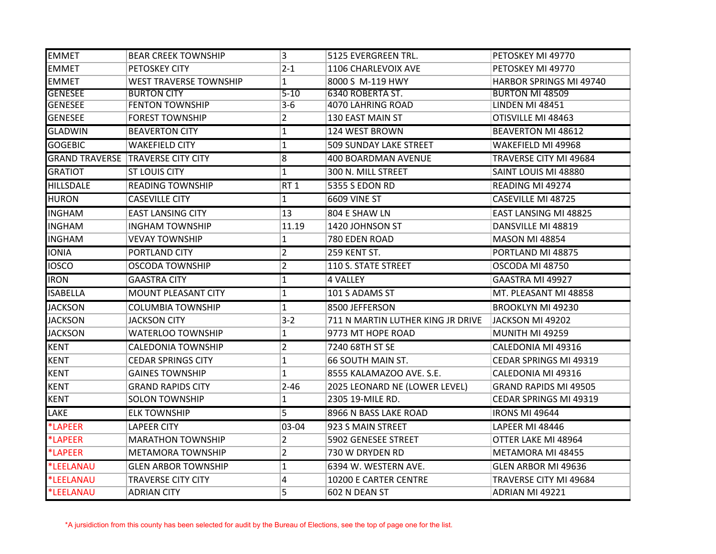| <b>EMMET</b>     | <b>BEAR CREEK TOWNSHIP</b>               | 3               | 5125 EVERGREEN TRL.               | PETOSKEY MI 49770            |
|------------------|------------------------------------------|-----------------|-----------------------------------|------------------------------|
| <b>EMMET</b>     | <b>PETOSKEY CITY</b>                     | $2 - 1$         | 1106 CHARLEVOIX AVE               | PETOSKEY MI 49770            |
| <b>EMMET</b>     | <b>WEST TRAVERSE TOWNSHIP</b>            | $\mathbf{1}$    | 8000 S M-119 HWY                  | HARBOR SPRINGS MI 49740      |
| <b>GENESEE</b>   | <b>BURTON CITY</b>                       | $5 - 10$        | 6340 ROBERTA ST.                  | <b>BURTON MI 48509</b>       |
| <b>GENESEE</b>   | <b>FENTON TOWNSHIP</b>                   | $3 - 6$         | <b>4070 LAHRING ROAD</b>          | <b>LINDEN MI 48451</b>       |
| <b>GENESEE</b>   | <b>FOREST TOWNSHIP</b>                   | 2               | 130 EAST MAIN ST                  | OTISVILLE MI 48463           |
| <b>GLADWIN</b>   | <b>BEAVERTON CITY</b>                    | $\mathbf{1}$    | 124 WEST BROWN                    | <b>BEAVERTON MI 48612</b>    |
| <b>GOGEBIC</b>   | <b>WAKEFIELD CITY</b>                    | $\vert$ 1       | <b>509 SUNDAY LAKE STREET</b>     | WAKEFIELD MI 49968           |
|                  | <b>GRAND TRAVERSE TRAVERSE CITY CITY</b> | 8               | 400 BOARDMAN AVENUE               | TRAVERSE CITY MI 49684       |
| <b>GRATIOT</b>   | <b>ST LOUIS CITY</b>                     | $\mathbf{1}$    | 300 N. MILL STREET                | SAINT LOUIS MI 48880         |
| <b>HILLSDALE</b> | <b>READING TOWNSHIP</b>                  | RT <sub>1</sub> | 5355 S EDON RD                    | READING MI 49274             |
| <b>HURON</b>     | <b>CASEVILLE CITY</b>                    | $\mathbf{1}$    | <b>6609 VINE ST</b>               | CASEVILLE MI 48725           |
| <b>INGHAM</b>    | <b>EAST LANSING CITY</b>                 | 13              | 804 E SHAW LN                     | EAST LANSING MI 48825        |
| <b>INGHAM</b>    | <b>INGHAM TOWNSHIP</b>                   | 11.19           | 1420 JOHNSON ST                   | DANSVILLE MI 48819           |
| <b>INGHAM</b>    | <b>VEVAY TOWNSHIP</b>                    | 1               | 780 EDEN ROAD                     | MASON MI 48854               |
| <b>IONIA</b>     | PORTLAND CITY                            | $\overline{2}$  | 259 KENT ST.                      | PORTLAND MI 48875            |
| <b>IOSCO</b>     | OSCODA TOWNSHIP                          | $\overline{2}$  | 110 S. STATE STREET               | OSCODA MI 48750              |
| <b>IRON</b>      | <b>GAASTRA CITY</b>                      | $\mathbf{1}$    | 4 VALLEY                          | GAASTRA MI 49927             |
| <b>ISABELLA</b>  | <b>MOUNT PLEASANT CITY</b>               | $\mathbf{1}$    | 101 S ADAMS ST                    | MT. PLEASANT MI 48858        |
| <b>JACKSON</b>   | <b>COLUMBIA TOWNSHIP</b>                 | $\mathbf{1}$    | 8500 JEFFERSON                    | <b>BROOKLYN MI 49230</b>     |
| <b>JACKSON</b>   | JACKSON CITY                             | $3 - 2$         | 711 N MARTIN LUTHER KING JR DRIVE | JACKSON MI 49202             |
| <b>JACKSON</b>   | <b>WATERLOO TOWNSHIP</b>                 | 1               | 9773 MT HOPE ROAD                 | <b>MUNITH MI 49259</b>       |
| <b>KENT</b>      | CALEDONIA TOWNSHIP                       | $\overline{2}$  | 7240 68TH ST SE                   | CALEDONIA MI 49316           |
| <b>KENT</b>      | <b>CEDAR SPRINGS CITY</b>                | $\mathbf{1}$    | 66 SOUTH MAIN ST.                 | CEDAR SPRINGS MI 49319       |
| <b>KENT</b>      | <b>GAINES TOWNSHIP</b>                   | 1               | 8555 KALAMAZOO AVE. S.E.          | CALEDONIA MI 49316           |
| <b>KENT</b>      | <b>GRAND RAPIDS CITY</b>                 | $2 - 46$        | 2025 LEONARD NE (LOWER LEVEL)     | <b>GRAND RAPIDS MI 49505</b> |
| <b>KENT</b>      | <b>SOLON TOWNSHIP</b>                    | $\mathbf{1}$    | 2305 19-MILE RD.                  | CEDAR SPRINGS MI 49319       |
| LAKE             | <b>ELK TOWNSHIP</b>                      | 5               | 8966 N BASS LAKE ROAD             | <b>IRONS MI 49644</b>        |
| *LAPEER          | <b>LAPEER CITY</b>                       | 03-04           | 923 S MAIN STREET                 | LAPEER MI 48446              |
| *LAPEER          | <b>MARATHON TOWNSHIP</b>                 | $\overline{2}$  | 5902 GENESEE STREET               | OTTER LAKE MI 48964          |
| *LAPEER          | <b>METAMORA TOWNSHIP</b>                 | $\overline{2}$  | 730 W DRYDEN RD                   | METAMORA MI 48455            |
| *LEELANAU        | <b>GLEN ARBOR TOWNSHIP</b>               | $\mathbf{1}$    | 6394 W. WESTERN AVE.              | <b>GLEN ARBOR MI 49636</b>   |
| *LEELANAU        | <b>TRAVERSE CITY CITY</b>                | 4               | 10200 E CARTER CENTRE             | TRAVERSE CITY MI 49684       |
| *LEELANAU        | <b>ADRIAN CITY</b>                       | 5               | 602 N DEAN ST                     | <b>ADRIAN MI 49221</b>       |

\*A jursidiction from this county has been selected for audit by the Bureau of Elections, see the top of page one for the list.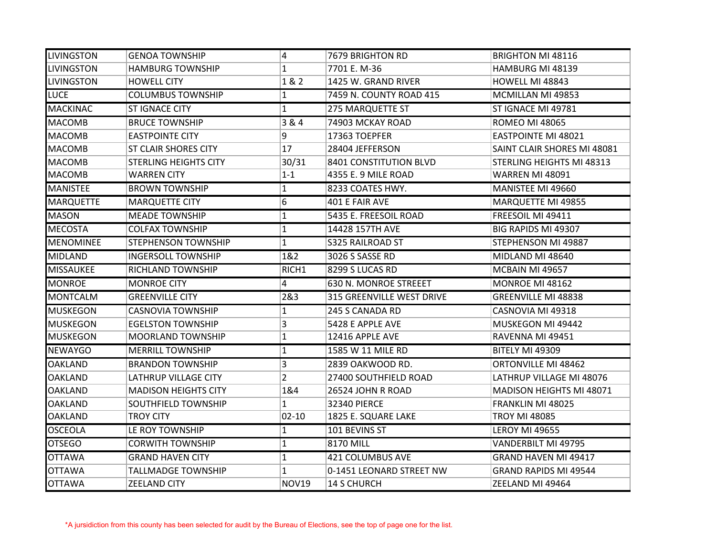| <b>LIVINGSTON</b> | GENOA TOWNSHIP              | 4              | 7679 BRIGHTON RD                 | BRIGHTON MI 48116               |
|-------------------|-----------------------------|----------------|----------------------------------|---------------------------------|
| <b>LIVINGSTON</b> | <b>HAMBURG TOWNSHIP</b>     | 1              | 7701 E. M-36                     | HAMBURG MI 48139                |
| <b>LIVINGSTON</b> | <b>HOWELL CITY</b>          | 1 & 2          | 1425 W. GRAND RIVER              | HOWELL MI 48843                 |
| <b>LUCE</b>       | <b>COLUMBUS TOWNSHIP</b>    | $\mathbf{1}$   | 7459 N. COUNTY ROAD 415          | MCMILLAN MI 49853               |
| <b>MACKINAC</b>   | <b>ST IGNACE CITY</b>       | $\mathbf{1}$   | 275 MARQUETTE ST                 | ST IGNACE MI 49781              |
| <b>MACOMB</b>     | <b>BRUCE TOWNSHIP</b>       | 3 & 4          | 74903 MCKAY ROAD                 | <b>ROMEO MI 48065</b>           |
| <b>MACOMB</b>     | <b>EASTPOINTE CITY</b>      | 9              | 17363 TOEPFER                    | <b>EASTPOINTE MI 48021</b>      |
| <b>MACOMB</b>     | ST CLAIR SHORES CITY        | 17             | 28404 JEFFERSON                  | SAINT CLAIR SHORES MI 48081     |
| <b>MACOMB</b>     | STERLING HEIGHTS CITY       | 30/31          | 8401 CONSTITUTION BLVD           | STERLING HEIGHTS MI 48313       |
| <b>MACOMB</b>     | <b>WARREN CITY</b>          | $1 - 1$        | 4355 E. 9 MILE ROAD              | WARREN MI 48091                 |
| <b>MANISTEE</b>   | <b>BROWN TOWNSHIP</b>       | $\mathbf{1}$   | 8233 COATES HWY.                 | MANISTEE MI 49660               |
| <b>MARQUETTE</b>  | <b>MARQUETTE CITY</b>       | 6              | 401 E FAIR AVE                   | <b>MARQUETTE MI 49855</b>       |
| <b>MASON</b>      | <b>MEADE TOWNSHIP</b>       | 1              | 5435 E. FREESOIL ROAD            | FREESOIL MI 49411               |
| <b>MECOSTA</b>    | <b>COLFAX TOWNSHIP</b>      | $\mathbf{1}$   | 14428 157TH AVE                  | <b>BIG RAPIDS MI 49307</b>      |
| <b>MENOMINEE</b>  | <b>STEPHENSON TOWNSHIP</b>  | $\mathbf{1}$   | <b>S325 RAILROAD ST</b>          | STEPHENSON MI 49887             |
| <b>MIDLAND</b>    | <b>INGERSOLL TOWNSHIP</b>   | 1&2            | 3026 S SASSE RD                  | MIDLAND MI 48640                |
| <b>MISSAUKEE</b>  | RICHLAND TOWNSHIP           | RICH1          | 8299 S LUCAS RD                  | MCBAIN MI 49657                 |
| <b>MONROE</b>     | <b>MONROE CITY</b>          | $\overline{4}$ | 630 N. MONROE STREEET            | MONROE MI 48162                 |
| <b>MONTCALM</b>   | <b>GREENVILLE CITY</b>      | 2&3            | <b>315 GREENVILLE WEST DRIVE</b> | <b>GREENVILLE MI 48838</b>      |
| <b>MUSKEGON</b>   | CASNOVIA TOWNSHIP           | $\mathbf{1}$   | 245 S CANADA RD                  | CASNOVIA MI 49318               |
| <b>MUSKEGON</b>   | <b>EGELSTON TOWNSHIP</b>    | 3              | 5428 E APPLE AVE                 | MUSKEGON MI 49442               |
| <b>MUSKEGON</b>   | MOORLAND TOWNSHIP           | $\mathbf{1}$   | 12416 APPLE AVE                  | RAVENNA MI 49451                |
| <b>NEWAYGO</b>    | <b>MERRILL TOWNSHIP</b>     | $\mathbf{1}$   | 1585 W 11 MILE RD                | <b>BITELY MI 49309</b>          |
| <b>OAKLAND</b>    | <b>BRANDON TOWNSHIP</b>     | 3              | 2839 OAKWOOD RD.                 | ORTONVILLE MI 48462             |
| <b>OAKLAND</b>    | LATHRUP VILLAGE CITY        | $\overline{2}$ | 27400 SOUTHFIELD ROAD            | LATHRUP VILLAGE MI 48076        |
| <b>OAKLAND</b>    | <b>MADISON HEIGHTS CITY</b> | 1&4            | 26524 JOHN R ROAD                | <b>MADISON HEIGHTS MI 48071</b> |
| <b>OAKLAND</b>    | <b>SOUTHFIELD TOWNSHIP</b>  | 1              | <b>32340 PIERCE</b>              | FRANKLIN MI 48025               |
| <b>OAKLAND</b>    | TROY CITY                   | $02 - 10$      | 1825 E. SQUARE LAKE              | <b>TROY MI 48085</b>            |
| <b>OSCEOLA</b>    | LE ROY TOWNSHIP             | 1              | 101 BEVINS ST                    | <b>LEROY MI 49655</b>           |
| <b>OTSEGO</b>     | <b>CORWITH TOWNSHIP</b>     | 1              | 8170 MILL                        | VANDERBILT MI 49795             |
| <b>OTTAWA</b>     | <b>GRAND HAVEN CITY</b>     | $\mathbf{1}$   | 421 COLUMBUS AVE                 | GRAND HAVEN MI 49417            |
| <b>OTTAWA</b>     | <b>TALLMADGE TOWNSHIP</b>   | 1              | 0-1451 LEONARD STREET NW         | <b>GRAND RAPIDS MI 49544</b>    |
| <b>OTTAWA</b>     | <b>ZEELAND CITY</b>         | NOV19          | <b>14 S CHURCH</b>               | ZEELAND MI 49464                |